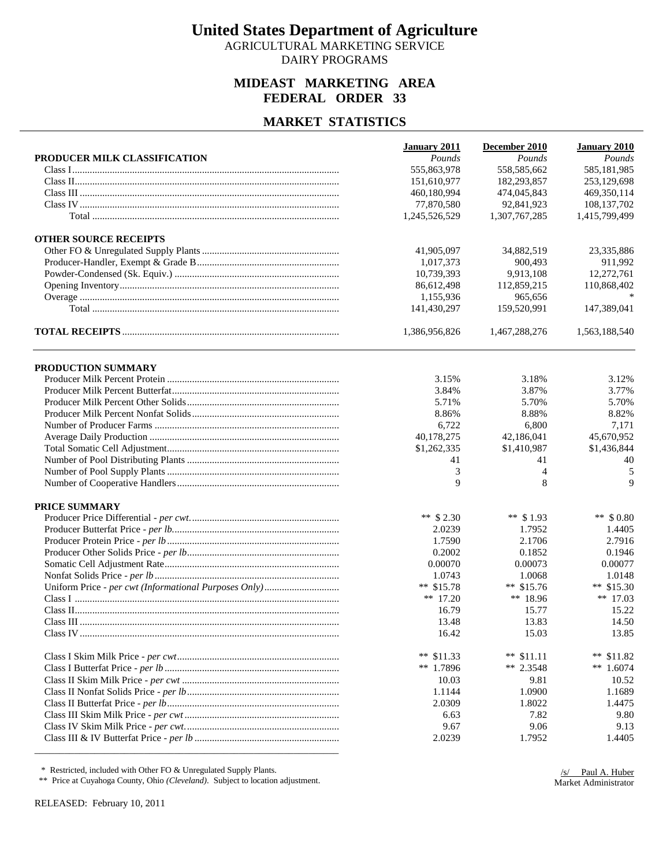AGRICULTURAL MARKETING SERVICE DAIRY PROGRAMS

### **MIDEAST MARKETING AREA FEDERAL ORDER 33**

#### **MARKET STATISTICS**

|                              | <b>January 2011</b> | December 2010  | January 2010  |
|------------------------------|---------------------|----------------|---------------|
| PRODUCER MILK CLASSIFICATION | Pounds              | Pounds         | Pounds        |
|                              | 555,863,978         | 558,585,662    | 585,181,985   |
|                              | 151,610,977         | 182,293,857    | 253,129,698   |
|                              | 460,180,994         | 474,045,843    | 469,350,114   |
|                              | 77,870,580          | 92,841,923     | 108,137,702   |
|                              | 1,245,526,529       | 1,307,767,285  | 1,415,799,499 |
| <b>OTHER SOURCE RECEIPTS</b> |                     |                |               |
|                              | 41,905,097          | 34,882,519     | 23,335,886    |
|                              | 1,017,373           | 900,493        | 911,992       |
|                              | 10.739.393          | 9,913,108      | 12,272,761    |
|                              | 86,612,498          | 112,859,215    | 110,868,402   |
|                              | 1,155,936           | 965,656        |               |
|                              | 141,430,297         | 159,520,991    | 147,389,041   |
|                              | 1,386,956,826       | 1,467,288,276  | 1,563,188,540 |
| PRODUCTION SUMMARY           |                     |                |               |
|                              | 3.15%               | 3.18%          | 3.12%         |
|                              | 3.84%               | 3.87%          | 3.77%         |
|                              | 5.71%               | 5.70%          | 5.70%         |
|                              | 8.86%               | 8.88%          | 8.82%         |
|                              | 6,722               | 6,800          | 7,171         |
|                              | 40,178,275          | 42,186,041     | 45,670,952    |
|                              | \$1,262,335         | \$1,410,987    | \$1,436,844   |
|                              | 41                  | 41             | 40            |
|                              | 3                   | $\overline{4}$ | 5             |
|                              | 9                   | 8              | 9             |
| PRICE SUMMARY                |                     |                |               |
|                              | ** $$2.30$          | ** $$1.93$     | ** $$0.80$    |
|                              | 2.0239              | 1.7952         | 1.4405        |
|                              | 1.7590              | 2.1706         | 2.7916        |
|                              | 0.2002              | 0.1852         | 0.1946        |
|                              | 0.00070             | 0.00073        | 0.00077       |
|                              | 1.0743              | 1.0068         | 1.0148        |
|                              | ** $$15.78$         | ** $$15.76$    | ** $$15.30$   |
|                              | ** $17.20$          | ** $18.96$     | ** $17.03$    |
|                              | 16.79               | 15.77          | 15.22         |
|                              | 13.48               | 13.83          | 14.50         |
|                              | 16.42               | 15.03          | 13.85         |
|                              | ** $$11.33$         | ** $$11.11$    | **<br>\$11.82 |
|                              | ** 1.7896           | ** 2.3548      | ** $1.6074$   |
|                              | 10.03               | 9.81           | 10.52         |
|                              | 1.1144              | 1.0900         | 1.1689        |
|                              | 2.0309              | 1.8022         | 1.4475        |
|                              | 6.63                | 7.82           | 9.80          |
|                              | 9.67                | 9.06           | 9.13          |
|                              | 2.0239              | 1.7952         | 1.4405        |
|                              |                     |                |               |

\* Restricted, included with Other FO & Unregulated Supply Plants.

\*\* Price at Cuyahoga County, Ohio *(Cleveland)*. Subject to location adjustment.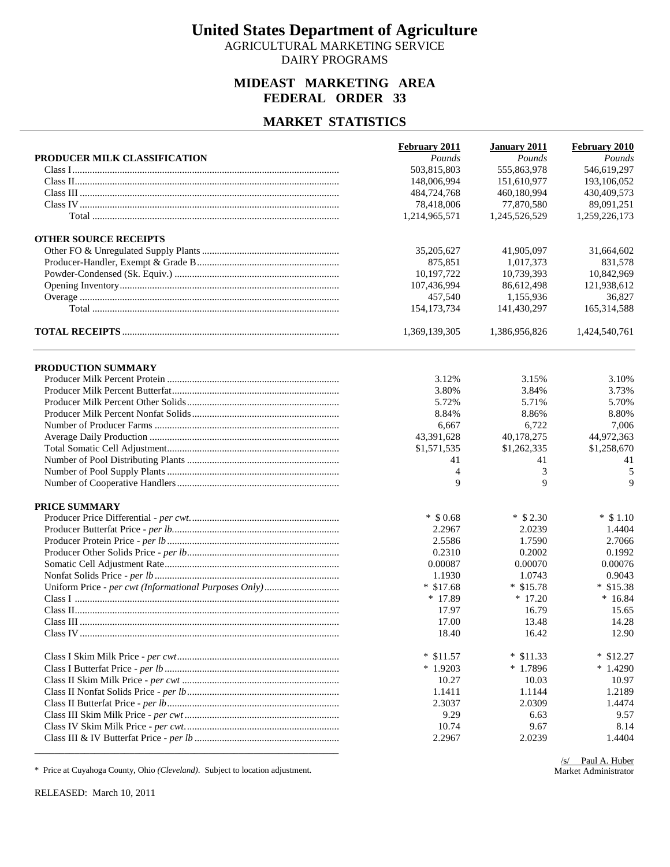AGRICULTURAL MARKETING SERVICE DAIRY PROGRAMS

### **MIDEAST MARKETING AREA FEDERAL ORDER 33**

#### **MARKET STATISTICS**

|                              | <b>February 2011</b> | <b>January 2011</b> | February 2010 |
|------------------------------|----------------------|---------------------|---------------|
| PRODUCER MILK CLASSIFICATION | Pounds               | Pounds              | Pounds        |
|                              | 503,815,803          | 555,863,978         | 546,619,297   |
|                              | 148,006,994          | 151,610,977         | 193,106,052   |
|                              | 484,724,768          | 460,180,994         | 430,409,573   |
|                              | 78,418,006           | 77,870,580          | 89,091,251    |
|                              | 1,214,965,571        | 1,245,526,529       | 1,259,226,173 |
| <b>OTHER SOURCE RECEIPTS</b> |                      |                     |               |
|                              | 35,205,627           | 41,905,097          | 31,664,602    |
|                              | 875,851              | 1,017,373           | 831,578       |
|                              | 10,197,722           | 10,739,393          | 10,842,969    |
|                              | 107,436,994          | 86,612,498          | 121,938,612   |
|                              | 457,540              | 1,155,936           | 36,827        |
|                              | 154, 173, 734        | 141,430,297         | 165,314,588   |
|                              | 1,369,139,305        | 1,386,956,826       | 1,424,540,761 |
| PRODUCTION SUMMARY           |                      |                     |               |
|                              | 3.12%                | 3.15%               | 3.10%         |
|                              | 3.80%                | 3.84%               | 3.73%         |
|                              | 5.72%                | 5.71%               | 5.70%         |
|                              | 8.84%                | 8.86%               | 8.80%         |
|                              | 6,667                | 6,722               | 7,006         |
|                              | 43,391,628           | 40,178,275          | 44,972,363    |
|                              | \$1,571,535          | \$1,262,335         | \$1,258,670   |
|                              | 41                   | 41                  | 41            |
|                              | 4                    | 3                   | 5             |
|                              | 9                    | 9                   | 9             |
| PRICE SUMMARY                |                      |                     |               |
|                              | $*$ \$ 0.68          | $*$ \$ 2.30         | $*$ \$1.10    |
|                              | 2.2967               | 2.0239              | 1.4404        |
|                              | 2.5586               | 1.7590              | 2.7066        |
|                              | 0.2310               | 0.2002              | 0.1992        |
|                              | 0.00087              | 0.00070             | 0.00076       |
|                              | 1.1930               | 1.0743              | 0.9043        |
|                              | $*$ \$17.68          | $*$ \$15.78         | $*$ \$15.38   |
|                              | $*17.89$             | $*17.20$            | $*16.84$      |
|                              | 17.97                | 16.79               | 15.65         |
|                              | 17.00                | 13.48               | 14.28         |
|                              | 18.40                | 16.42               | 12.90         |
|                              | $*$ \$11.57          | $*$ \$11.33         | $*$ \$12.27   |
|                              | $*1.9203$            | $*1.7896$           | $*1.4290$     |
|                              | 10.27                | 10.03               | 10.97         |
|                              | 1.1411               | 1.1144              | 1.2189        |
|                              | 2.3037               | 2.0309              | 1.4474        |
|                              | 9.29                 | 6.63                | 9.57          |
|                              | 10.74                | 9.67                | 8.14          |
|                              | 2.2967               | 2.0239              | 1.4404        |

\* Price at Cuyahoga County, Ohio *(Cleveland)*. Subject to location adjustment.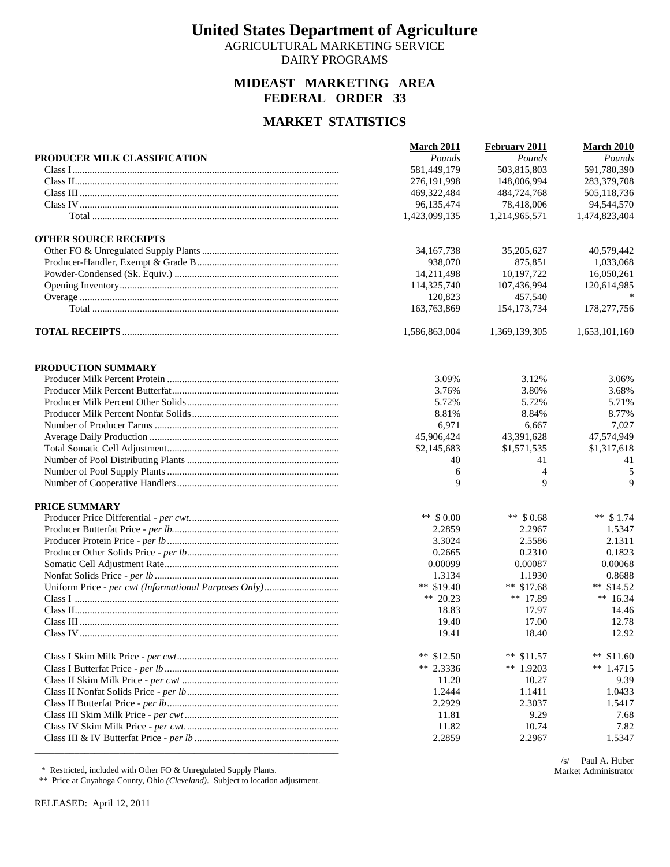AGRICULTURAL MARKETING SERVICE DAIRY PROGRAMS

### **MIDEAST MARKETING AREA FEDERAL ORDER 33**

#### **MARKET STATISTICS**

| 503,815,803<br>591,780,390<br>581,449,179<br>276,191,998<br>148,006,994<br>283,379,708<br>469,322,484<br>505,118,736<br>484,724,768<br>96,135,474<br>78,418,006<br>94,544,570<br>1,423,099,135<br>1,214,965,571<br>1,474,823,404<br><b>OTHER SOURCE RECEIPTS</b><br>40,579,442<br>34, 167, 738<br>35,205,627<br>1,033,068<br>938,070<br>875,851<br>14,211,498<br>10,197,722<br>16,050,261<br>114,325,740<br>107,436,994<br>120,614,985<br>120.823<br>457,540<br>163,763,869<br>178,277,756<br>154, 173, 734<br>1,586,863,004<br>1,369,139,305<br>1,653,101,160<br>PRODUCTION SUMMARY<br>3.09%<br>3.12%<br>3.06%<br>3.80%<br>3.76%<br>3.68%<br>5.72%<br>5.72%<br>5.71%<br>8.81%<br>8.84%<br>8.77%<br>6,971<br>6,667<br>7,027<br>45,906,424<br>43,391,628<br>47,574,949<br>\$2,145,683<br>\$1,571,535<br>\$1,317,618<br>40<br>41<br>41<br>$\overline{4}$<br>6<br>5<br>9<br>9<br>9<br>PRICE SUMMARY<br>** $$0.00$<br>** $$0.68$<br>** $$1.74$<br>2.2859<br>2.2967<br>1.5347<br>3.3024<br>2.5586<br>2.1311<br>0.2665<br>0.2310<br>0.1823<br>0.00068<br>0.00099<br>0.00087<br>1.3134<br>1.1930<br>0.8688<br>** $$19.40$<br>** $$17.68$<br>** $$14.52$<br>** 20.23<br>** 17.89<br>** $16.34$<br>17.97<br>18.83<br>14.46<br>19.40<br>17.00<br>12.78<br>19.41<br>18.40<br>12.92<br>** $$12.50$<br>** $$11.57$<br>**<br>\$11.60<br>** 2.3336<br>** $1.9203$<br>** $1.4715$<br>11.20<br>10.27<br>9.39<br>1.2444<br>1.1411<br>1.0433<br>2.2929<br>2.3037<br>1.5417<br>9.29<br>11.81<br>7.68<br>11.82<br>10.74<br>7.82<br>2.2859<br>2.2967<br>1.5347 |                              | March 2011 | February 2011 | <b>March 2010</b> |
|------------------------------------------------------------------------------------------------------------------------------------------------------------------------------------------------------------------------------------------------------------------------------------------------------------------------------------------------------------------------------------------------------------------------------------------------------------------------------------------------------------------------------------------------------------------------------------------------------------------------------------------------------------------------------------------------------------------------------------------------------------------------------------------------------------------------------------------------------------------------------------------------------------------------------------------------------------------------------------------------------------------------------------------------------------------------------------------------------------------------------------------------------------------------------------------------------------------------------------------------------------------------------------------------------------------------------------------------------------------------------------------------------------------------------------------------------------------------------------------------------------------------------------------|------------------------------|------------|---------------|-------------------|
|                                                                                                                                                                                                                                                                                                                                                                                                                                                                                                                                                                                                                                                                                                                                                                                                                                                                                                                                                                                                                                                                                                                                                                                                                                                                                                                                                                                                                                                                                                                                          | PRODUCER MILK CLASSIFICATION | Pounds     | Pounds        | Pounds            |
|                                                                                                                                                                                                                                                                                                                                                                                                                                                                                                                                                                                                                                                                                                                                                                                                                                                                                                                                                                                                                                                                                                                                                                                                                                                                                                                                                                                                                                                                                                                                          |                              |            |               |                   |
|                                                                                                                                                                                                                                                                                                                                                                                                                                                                                                                                                                                                                                                                                                                                                                                                                                                                                                                                                                                                                                                                                                                                                                                                                                                                                                                                                                                                                                                                                                                                          |                              |            |               |                   |
|                                                                                                                                                                                                                                                                                                                                                                                                                                                                                                                                                                                                                                                                                                                                                                                                                                                                                                                                                                                                                                                                                                                                                                                                                                                                                                                                                                                                                                                                                                                                          |                              |            |               |                   |
|                                                                                                                                                                                                                                                                                                                                                                                                                                                                                                                                                                                                                                                                                                                                                                                                                                                                                                                                                                                                                                                                                                                                                                                                                                                                                                                                                                                                                                                                                                                                          |                              |            |               |                   |
|                                                                                                                                                                                                                                                                                                                                                                                                                                                                                                                                                                                                                                                                                                                                                                                                                                                                                                                                                                                                                                                                                                                                                                                                                                                                                                                                                                                                                                                                                                                                          |                              |            |               |                   |
|                                                                                                                                                                                                                                                                                                                                                                                                                                                                                                                                                                                                                                                                                                                                                                                                                                                                                                                                                                                                                                                                                                                                                                                                                                                                                                                                                                                                                                                                                                                                          |                              |            |               |                   |
|                                                                                                                                                                                                                                                                                                                                                                                                                                                                                                                                                                                                                                                                                                                                                                                                                                                                                                                                                                                                                                                                                                                                                                                                                                                                                                                                                                                                                                                                                                                                          |                              |            |               |                   |
|                                                                                                                                                                                                                                                                                                                                                                                                                                                                                                                                                                                                                                                                                                                                                                                                                                                                                                                                                                                                                                                                                                                                                                                                                                                                                                                                                                                                                                                                                                                                          |                              |            |               |                   |
|                                                                                                                                                                                                                                                                                                                                                                                                                                                                                                                                                                                                                                                                                                                                                                                                                                                                                                                                                                                                                                                                                                                                                                                                                                                                                                                                                                                                                                                                                                                                          |                              |            |               |                   |
|                                                                                                                                                                                                                                                                                                                                                                                                                                                                                                                                                                                                                                                                                                                                                                                                                                                                                                                                                                                                                                                                                                                                                                                                                                                                                                                                                                                                                                                                                                                                          |                              |            |               |                   |
|                                                                                                                                                                                                                                                                                                                                                                                                                                                                                                                                                                                                                                                                                                                                                                                                                                                                                                                                                                                                                                                                                                                                                                                                                                                                                                                                                                                                                                                                                                                                          |                              |            |               |                   |
|                                                                                                                                                                                                                                                                                                                                                                                                                                                                                                                                                                                                                                                                                                                                                                                                                                                                                                                                                                                                                                                                                                                                                                                                                                                                                                                                                                                                                                                                                                                                          |                              |            |               |                   |
|                                                                                                                                                                                                                                                                                                                                                                                                                                                                                                                                                                                                                                                                                                                                                                                                                                                                                                                                                                                                                                                                                                                                                                                                                                                                                                                                                                                                                                                                                                                                          |                              |            |               |                   |
|                                                                                                                                                                                                                                                                                                                                                                                                                                                                                                                                                                                                                                                                                                                                                                                                                                                                                                                                                                                                                                                                                                                                                                                                                                                                                                                                                                                                                                                                                                                                          |                              |            |               |                   |
|                                                                                                                                                                                                                                                                                                                                                                                                                                                                                                                                                                                                                                                                                                                                                                                                                                                                                                                                                                                                                                                                                                                                                                                                                                                                                                                                                                                                                                                                                                                                          |                              |            |               |                   |
|                                                                                                                                                                                                                                                                                                                                                                                                                                                                                                                                                                                                                                                                                                                                                                                                                                                                                                                                                                                                                                                                                                                                                                                                                                                                                                                                                                                                                                                                                                                                          |                              |            |               |                   |
|                                                                                                                                                                                                                                                                                                                                                                                                                                                                                                                                                                                                                                                                                                                                                                                                                                                                                                                                                                                                                                                                                                                                                                                                                                                                                                                                                                                                                                                                                                                                          |                              |            |               |                   |
|                                                                                                                                                                                                                                                                                                                                                                                                                                                                                                                                                                                                                                                                                                                                                                                                                                                                                                                                                                                                                                                                                                                                                                                                                                                                                                                                                                                                                                                                                                                                          |                              |            |               |                   |
|                                                                                                                                                                                                                                                                                                                                                                                                                                                                                                                                                                                                                                                                                                                                                                                                                                                                                                                                                                                                                                                                                                                                                                                                                                                                                                                                                                                                                                                                                                                                          |                              |            |               |                   |
|                                                                                                                                                                                                                                                                                                                                                                                                                                                                                                                                                                                                                                                                                                                                                                                                                                                                                                                                                                                                                                                                                                                                                                                                                                                                                                                                                                                                                                                                                                                                          |                              |            |               |                   |
|                                                                                                                                                                                                                                                                                                                                                                                                                                                                                                                                                                                                                                                                                                                                                                                                                                                                                                                                                                                                                                                                                                                                                                                                                                                                                                                                                                                                                                                                                                                                          |                              |            |               |                   |
|                                                                                                                                                                                                                                                                                                                                                                                                                                                                                                                                                                                                                                                                                                                                                                                                                                                                                                                                                                                                                                                                                                                                                                                                                                                                                                                                                                                                                                                                                                                                          |                              |            |               |                   |
|                                                                                                                                                                                                                                                                                                                                                                                                                                                                                                                                                                                                                                                                                                                                                                                                                                                                                                                                                                                                                                                                                                                                                                                                                                                                                                                                                                                                                                                                                                                                          |                              |            |               |                   |
|                                                                                                                                                                                                                                                                                                                                                                                                                                                                                                                                                                                                                                                                                                                                                                                                                                                                                                                                                                                                                                                                                                                                                                                                                                                                                                                                                                                                                                                                                                                                          |                              |            |               |                   |
|                                                                                                                                                                                                                                                                                                                                                                                                                                                                                                                                                                                                                                                                                                                                                                                                                                                                                                                                                                                                                                                                                                                                                                                                                                                                                                                                                                                                                                                                                                                                          |                              |            |               |                   |
|                                                                                                                                                                                                                                                                                                                                                                                                                                                                                                                                                                                                                                                                                                                                                                                                                                                                                                                                                                                                                                                                                                                                                                                                                                                                                                                                                                                                                                                                                                                                          |                              |            |               |                   |
|                                                                                                                                                                                                                                                                                                                                                                                                                                                                                                                                                                                                                                                                                                                                                                                                                                                                                                                                                                                                                                                                                                                                                                                                                                                                                                                                                                                                                                                                                                                                          |                              |            |               |                   |
|                                                                                                                                                                                                                                                                                                                                                                                                                                                                                                                                                                                                                                                                                                                                                                                                                                                                                                                                                                                                                                                                                                                                                                                                                                                                                                                                                                                                                                                                                                                                          |                              |            |               |                   |
|                                                                                                                                                                                                                                                                                                                                                                                                                                                                                                                                                                                                                                                                                                                                                                                                                                                                                                                                                                                                                                                                                                                                                                                                                                                                                                                                                                                                                                                                                                                                          |                              |            |               |                   |
|                                                                                                                                                                                                                                                                                                                                                                                                                                                                                                                                                                                                                                                                                                                                                                                                                                                                                                                                                                                                                                                                                                                                                                                                                                                                                                                                                                                                                                                                                                                                          |                              |            |               |                   |
|                                                                                                                                                                                                                                                                                                                                                                                                                                                                                                                                                                                                                                                                                                                                                                                                                                                                                                                                                                                                                                                                                                                                                                                                                                                                                                                                                                                                                                                                                                                                          |                              |            |               |                   |
|                                                                                                                                                                                                                                                                                                                                                                                                                                                                                                                                                                                                                                                                                                                                                                                                                                                                                                                                                                                                                                                                                                                                                                                                                                                                                                                                                                                                                                                                                                                                          |                              |            |               |                   |
|                                                                                                                                                                                                                                                                                                                                                                                                                                                                                                                                                                                                                                                                                                                                                                                                                                                                                                                                                                                                                                                                                                                                                                                                                                                                                                                                                                                                                                                                                                                                          |                              |            |               |                   |
|                                                                                                                                                                                                                                                                                                                                                                                                                                                                                                                                                                                                                                                                                                                                                                                                                                                                                                                                                                                                                                                                                                                                                                                                                                                                                                                                                                                                                                                                                                                                          |                              |            |               |                   |
|                                                                                                                                                                                                                                                                                                                                                                                                                                                                                                                                                                                                                                                                                                                                                                                                                                                                                                                                                                                                                                                                                                                                                                                                                                                                                                                                                                                                                                                                                                                                          |                              |            |               |                   |
|                                                                                                                                                                                                                                                                                                                                                                                                                                                                                                                                                                                                                                                                                                                                                                                                                                                                                                                                                                                                                                                                                                                                                                                                                                                                                                                                                                                                                                                                                                                                          |                              |            |               |                   |
|                                                                                                                                                                                                                                                                                                                                                                                                                                                                                                                                                                                                                                                                                                                                                                                                                                                                                                                                                                                                                                                                                                                                                                                                                                                                                                                                                                                                                                                                                                                                          |                              |            |               |                   |
|                                                                                                                                                                                                                                                                                                                                                                                                                                                                                                                                                                                                                                                                                                                                                                                                                                                                                                                                                                                                                                                                                                                                                                                                                                                                                                                                                                                                                                                                                                                                          |                              |            |               |                   |
|                                                                                                                                                                                                                                                                                                                                                                                                                                                                                                                                                                                                                                                                                                                                                                                                                                                                                                                                                                                                                                                                                                                                                                                                                                                                                                                                                                                                                                                                                                                                          |                              |            |               |                   |
|                                                                                                                                                                                                                                                                                                                                                                                                                                                                                                                                                                                                                                                                                                                                                                                                                                                                                                                                                                                                                                                                                                                                                                                                                                                                                                                                                                                                                                                                                                                                          |                              |            |               |                   |
|                                                                                                                                                                                                                                                                                                                                                                                                                                                                                                                                                                                                                                                                                                                                                                                                                                                                                                                                                                                                                                                                                                                                                                                                                                                                                                                                                                                                                                                                                                                                          |                              |            |               |                   |
|                                                                                                                                                                                                                                                                                                                                                                                                                                                                                                                                                                                                                                                                                                                                                                                                                                                                                                                                                                                                                                                                                                                                                                                                                                                                                                                                                                                                                                                                                                                                          |                              |            |               |                   |
|                                                                                                                                                                                                                                                                                                                                                                                                                                                                                                                                                                                                                                                                                                                                                                                                                                                                                                                                                                                                                                                                                                                                                                                                                                                                                                                                                                                                                                                                                                                                          |                              |            |               |                   |
|                                                                                                                                                                                                                                                                                                                                                                                                                                                                                                                                                                                                                                                                                                                                                                                                                                                                                                                                                                                                                                                                                                                                                                                                                                                                                                                                                                                                                                                                                                                                          |                              |            |               |                   |

\* Restricted, included with Other FO & Unregulated Supply Plants.

\*\* Price at Cuyahoga County, Ohio *(Cleveland)*. Subject to location adjustment.

RELEASED: April 12, 2011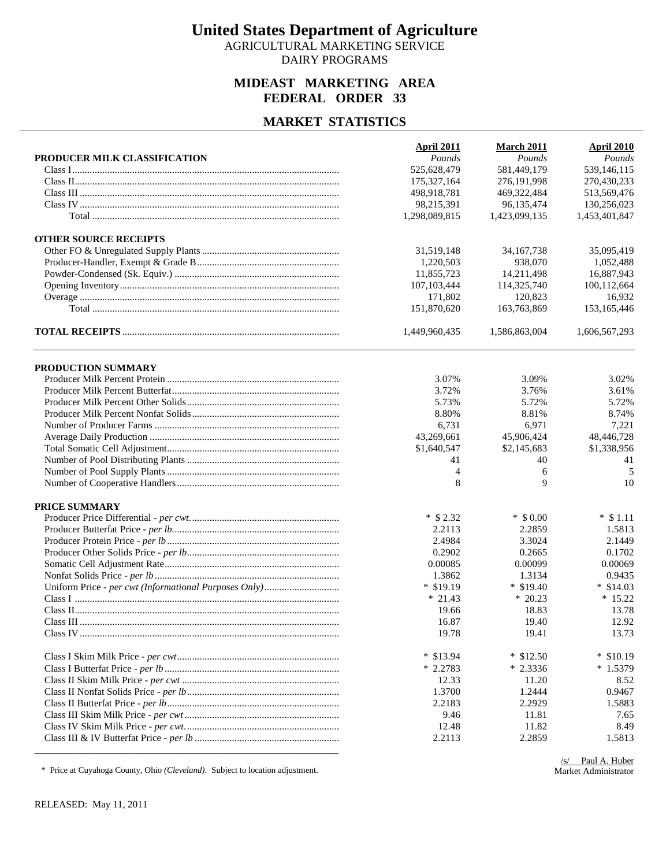AGRICULTURAL MARKETING SERVICE DAIRY PROGRAMS

### **MIDEAST MARKETING AREA FEDERAL ORDER 33**

#### **MARKET STATISTICS**

| PRODUCER MILK CLASSIFICATION | <b>April 2011</b><br>Pounds | <b>March 2011</b><br>Pounds | <b>April 2010</b><br>Pounds |
|------------------------------|-----------------------------|-----------------------------|-----------------------------|
|                              | 525,628,479                 | 581,449,179                 | 539,146,115                 |
|                              | 175,327,164                 | 276,191,998                 | 270,430,233                 |
|                              | 498,918,781                 | 469,322,484                 | 513,569,476                 |
|                              | 98,215,391                  | 96,135,474                  | 130,256,023                 |
|                              | 1,298,089,815               | 1,423,099,135               | 1,453,401,847               |
|                              |                             |                             |                             |
| <b>OTHER SOURCE RECEIPTS</b> |                             |                             |                             |
|                              | 31,519,148                  | 34, 167, 738                | 35,095,419                  |
|                              | 1,220,503                   | 938,070                     | 1,052,488                   |
|                              | 11,855,723                  | 14,211,498                  | 16,887,943                  |
|                              | 107, 103, 444               | 114,325,740                 | 100,112,664                 |
|                              | 171,802                     | 120,823                     | 16,932                      |
|                              | 151,870,620                 | 163,763,869                 | 153,165,446                 |
|                              | 1,449,960,435               | 1,586,863,004               | 1,606,567,293               |
| PRODUCTION SUMMARY           |                             |                             |                             |
|                              | 3.07%                       | 3.09%                       | 3.02%                       |
|                              | 3.72%                       | 3.76%                       | 3.61%                       |
|                              | 5.73%                       | 5.72%                       | 5.72%                       |
|                              | 8.80%                       | 8.81%                       | 8.74%                       |
|                              | 6,731                       | 6,971                       | 7,221                       |
|                              | 43,269,661                  | 45,906,424                  | 48,446,728                  |
|                              | \$1,640,547                 | \$2,145,683                 | \$1,338,956                 |
|                              | 41                          | 40                          | 41                          |
|                              | 4                           | 6                           | 5                           |
|                              | 8                           | 9                           | 10                          |
|                              |                             |                             |                             |
| PRICE SUMMARY                |                             |                             |                             |
|                              | $*$ \$ 2.32                 | $*$ \$ 0.00                 | $*$ \$1.11                  |
|                              | 2.2113                      | 2.2859                      | 1.5813                      |
|                              | 2.4984                      | 3.3024                      | 2.1449                      |
|                              | 0.2902                      | 0.2665                      | 0.1702                      |
|                              | 0.00085                     | 0.00099                     | 0.00069                     |
|                              | 1.3862                      | 1.3134                      | 0.9435                      |
|                              | $*$ \$19.19                 | $*$ \$19.40                 | $*$ \$14.03                 |
|                              | $* 21.43$                   | $*20.23$                    | $*15.22$                    |
|                              | 19.66                       | 18.83                       | 13.78                       |
|                              | 16.87                       | 19.40                       | 12.92                       |
|                              | 19.78                       | 19.41                       | 13.73                       |
|                              | $*$ \$13.94                 | $*$ \$12.50                 | $*$ \$10.19                 |
|                              | $*2.2783$                   | $*2.3336$                   | $*1.5379$                   |
|                              | 12.33                       | 11.20                       | 8.52                        |
|                              | 1.3700                      | 1.2444                      | 0.9467                      |
|                              | 2.2183                      | 2.2929                      | 1.5883                      |
|                              | 9.46                        | 11.81                       | 7.65                        |
|                              | 12.48                       | 11.82                       | 8.49                        |
|                              | 2.2113                      | 2.2859                      | 1.5813                      |
|                              |                             |                             |                             |

\* Price at Cuyahoga County, Ohio *(Cleveland)*. Subject to location adjustment.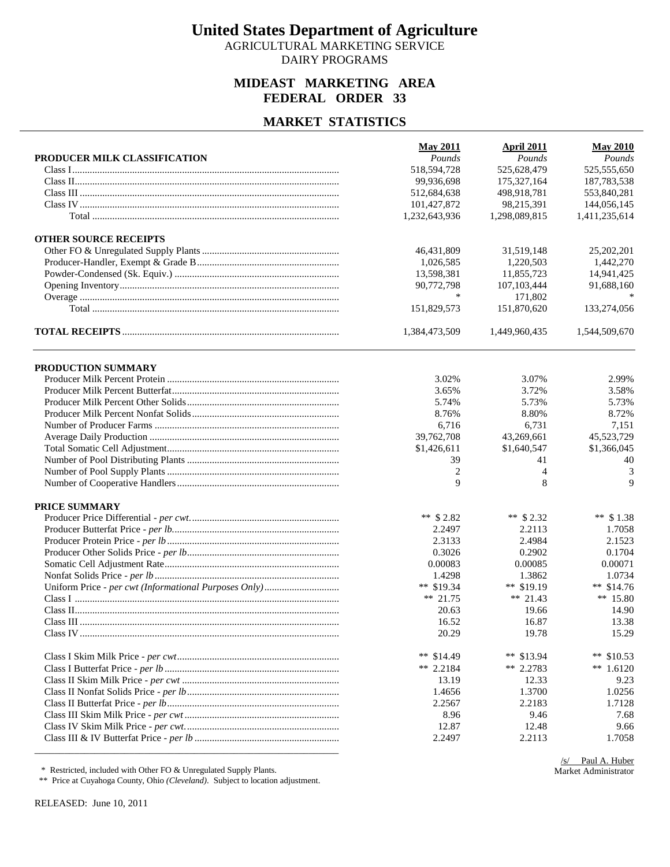AGRICULTURAL MARKETING SERVICE DAIRY PROGRAMS

### **MIDEAST MARKETING AREA FEDERAL ORDER 33**

#### **MARKET STATISTICS**

|                              | <b>May 2011</b> | <b>April 2011</b> | <b>May 2010</b> |
|------------------------------|-----------------|-------------------|-----------------|
| PRODUCER MILK CLASSIFICATION | Pounds          | Pounds            | Pounds          |
|                              | 518,594,728     | 525,628,479       | 525,555,650     |
|                              | 99,936,698      | 175,327,164       | 187,783,538     |
|                              | 512,684,638     | 498,918,781       | 553,840,281     |
|                              | 101,427,872     | 98,215,391        | 144,056,145     |
|                              | 1,232,643,936   | 1,298,089,815     | 1,411,235,614   |
| <b>OTHER SOURCE RECEIPTS</b> |                 |                   |                 |
|                              | 46,431,809      | 31,519,148        | 25, 202, 201    |
|                              | 1,026,585       | 1,220,503         | 1,442,270       |
|                              | 13,598,381      | 11,855,723        | 14,941,425      |
|                              | 90,772,798      | 107, 103, 444     | 91,688,160      |
|                              | *               | 171,802           |                 |
|                              | 151,829,573     | 151,870,620       | 133,274,056     |
|                              | 1,384,473,509   | 1,449,960,435     | 1,544,509,670   |
| PRODUCTION SUMMARY           |                 |                   |                 |
|                              | 3.02%           | 3.07%             | 2.99%           |
|                              | 3.65%           | 3.72%             | 3.58%           |
|                              | 5.74%           | 5.73%             | 5.73%           |
|                              | 8.76%           | 8.80%             | 8.72%           |
|                              | 6,716           | 6,731             | 7,151           |
|                              | 39,762,708      | 43,269,661        | 45,523,729      |
|                              | \$1,426,611     | \$1,640,547       | \$1,366,045     |
|                              | 39              | 41                | 40              |
|                              | $\overline{c}$  | $\overline{4}$    | 3               |
|                              | 9               | 8                 | 9               |
| PRICE SUMMARY                |                 |                   |                 |
|                              | ** $$2.82$      | ** $$2.32$        | ** $$1.38$      |
|                              | 2.2497          | 2.2113            | 1.7058          |
|                              | 2.3133          | 2.4984            | 2.1523          |
|                              | 0.3026          | 0.2902            | 0.1704          |
|                              | 0.00083         | 0.00085           | 0.00071         |
|                              | 1.4298          | 1.3862            | 1.0734          |
|                              | ** $$19.34$     | ** $$19.19$       | ** $$14.76$     |
|                              | ** 21.75        | ** 21.43          | ** 15.80        |
|                              | 20.63           | 19.66             | 14.90           |
|                              | 16.52           | 16.87             | 13.38           |
|                              | 20.29           | 19.78             | 15.29           |
|                              | ** $$14.49$     | ** $$13.94$       | ** $$10.53$     |
|                              | ** 2.2184       | ** 2.2783         | ** $1.6120$     |
|                              | 13.19           | 12.33             | 9.23            |
|                              | 1.4656          | 1.3700            | 1.0256          |
|                              | 2.2567          | 2.2183            | 1.7128          |
|                              | 8.96            | 9.46              | 7.68            |
|                              | 12.87           | 12.48             | 9.66            |
|                              | 2.2497          | 2.2113            | 1.7058          |

\* Restricted, included with Other FO & Unregulated Supply Plants.

\*\* Price at Cuyahoga County, Ohio *(Cleveland)*. Subject to location adjustment.

RELEASED: June 10, 2011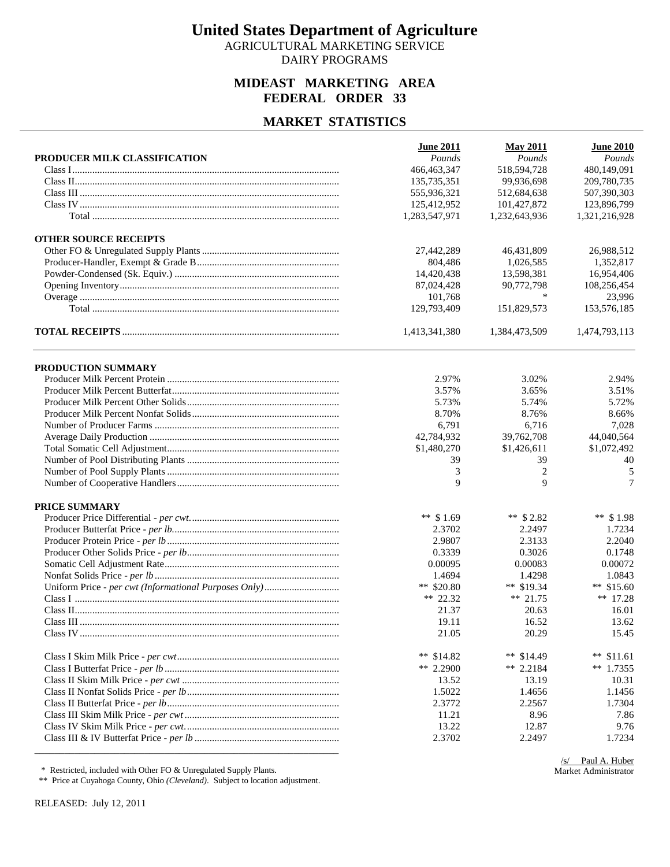AGRICULTURAL MARKETING SERVICE DAIRY PROGRAMS

### **MIDEAST MARKETING AREA FEDERAL ORDER 33**

#### **MARKET STATISTICS**

| PRODUCER MILK CLASSIFICATION | <b>June 2011</b><br>Pounds | <b>May 2011</b><br>Pounds | <b>June 2010</b><br>Pounds |
|------------------------------|----------------------------|---------------------------|----------------------------|
|                              | 466, 463, 347              | 518,594,728               | 480,149,091                |
|                              | 135,735,351                | 99.936.698                | 209,780,735                |
|                              | 555,936,321                | 512,684,638               | 507,390,303                |
|                              | 125,412,952                | 101,427,872               | 123,896,799                |
|                              | 1,283,547,971              | 1,232,643,936             | 1,321,216,928              |
|                              |                            |                           |                            |
| <b>OTHER SOURCE RECEIPTS</b> |                            |                           |                            |
|                              | 27,442,289                 | 46,431,809                | 26,988,512                 |
|                              | 804,486                    | 1,026,585                 | 1,352,817                  |
|                              | 14,420,438                 | 13,598,381                | 16,954,406                 |
|                              | 87,024,428                 | 90,772,798                | 108,256,454                |
|                              | 101,768                    | ∗                         | 23,996                     |
|                              | 129,793,409                | 151,829,573               | 153,576,185                |
|                              | 1,413,341,380              | 1,384,473,509             | 1,474,793,113              |
| PRODUCTION SUMMARY           |                            |                           |                            |
|                              | 2.97%                      | 3.02%                     | 2.94%                      |
|                              | 3.57%                      | 3.65%                     | 3.51%                      |
|                              | 5.73%                      | 5.74%                     | 5.72%                      |
|                              | 8.70%                      | 8.76%                     | 8.66%                      |
|                              | 6,791                      | 6,716                     | 7,028                      |
|                              | 42,784,932                 | 39,762,708                | 44,040,564                 |
|                              | \$1,480,270                | \$1,426,611               | \$1,072,492                |
|                              | 39                         | 39                        | 40                         |
|                              | 3                          | $\overline{c}$            |                            |
|                              | 9                          | 9                         | 5<br>7                     |
|                              |                            |                           |                            |
| PRICE SUMMARY                |                            |                           |                            |
|                              | ** $$1.69$                 | ** $$2.82$                | ** $$1.98$                 |
|                              | 2.3702                     | 2.2497                    | 1.7234                     |
|                              | 2.9807                     | 2.3133                    | 2.2040                     |
|                              | 0.3339                     | 0.3026                    | 0.1748                     |
|                              | 0.00095                    | 0.00083                   | 0.00072                    |
|                              | 1.4694                     | 1.4298                    | 1.0843                     |
|                              | ** $$20.80$                | ** $$19.34$               | ** $$15.60$                |
|                              | ** 22.32                   | ** $21.75$                | ** $17.28$                 |
|                              | 21.37                      | 20.63                     | 16.01                      |
|                              | 19.11                      | 16.52                     | 13.62                      |
|                              | 21.05                      | 20.29                     | 15.45                      |
|                              |                            |                           |                            |
|                              | ** \$14.82                 | ** $$14.49$               | ** $$11.61$                |
|                              | ** 2.2900                  | ** 2.2184                 | ** $1.7355$                |
|                              | 13.52                      | 13.19                     | 10.31                      |
|                              | 1.5022                     | 1.4656                    | 1.1456                     |
|                              | 2.3772                     | 2.2567                    | 1.7304                     |
|                              | 11.21                      | 8.96                      | 7.86                       |
|                              | 13.22                      | 12.87                     | 9.76                       |
|                              | 2.3702                     | 2.2497                    | 1.7234                     |
|                              |                            |                           |                            |

\* Restricted, included with Other FO & Unregulated Supply Plants.

\*\* Price at Cuyahoga County, Ohio *(Cleveland)*. Subject to location adjustment.

RELEASED: July 12, 2011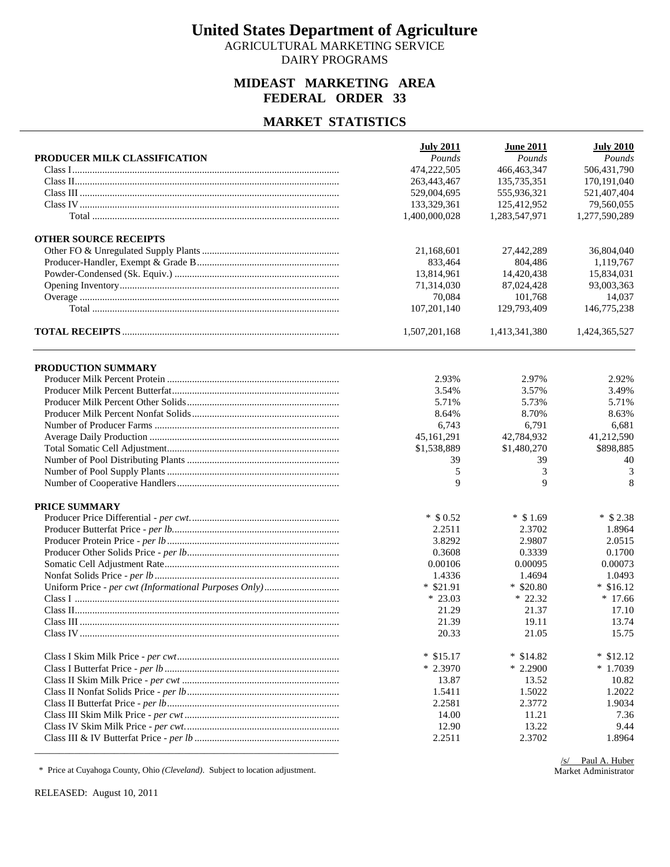AGRICULTURAL MARKETING SERVICE DAIRY PROGRAMS

### **MIDEAST MARKETING AREA FEDERAL ORDER 33**

#### **MARKET STATISTICS**

| Pounds<br>Pounds<br>PRODUCER MILK CLASSIFICATION<br>474,222,505<br>466, 463, 347<br>506,431,790<br>263,443,467<br>135,735,351<br>170,191,040<br>555,936,321<br>521,407,404<br>529,004,695<br>133,329,361<br>125,412,952<br>1,400,000,028<br>1,283,547,971<br>1,277,590,289<br><b>OTHER SOURCE RECEIPTS</b><br>21,168,601<br>27,442,289<br>804,486<br>833.464<br>13,814,961<br>14.420.438<br>71,314,030<br>87,024,428<br>70,084<br>101,768<br>107,201,140<br>129,793,409<br>146,775,238<br>1,507,201,168<br>1,413,341,380<br>1,424,365,527 | Pounds<br>79,560,055<br>36,804,040<br>1,119,767<br>15.834.031<br>93,003,363<br>14,037 |
|-------------------------------------------------------------------------------------------------------------------------------------------------------------------------------------------------------------------------------------------------------------------------------------------------------------------------------------------------------------------------------------------------------------------------------------------------------------------------------------------------------------------------------------------|---------------------------------------------------------------------------------------|
|                                                                                                                                                                                                                                                                                                                                                                                                                                                                                                                                           |                                                                                       |
|                                                                                                                                                                                                                                                                                                                                                                                                                                                                                                                                           |                                                                                       |
|                                                                                                                                                                                                                                                                                                                                                                                                                                                                                                                                           |                                                                                       |
|                                                                                                                                                                                                                                                                                                                                                                                                                                                                                                                                           |                                                                                       |
|                                                                                                                                                                                                                                                                                                                                                                                                                                                                                                                                           |                                                                                       |
|                                                                                                                                                                                                                                                                                                                                                                                                                                                                                                                                           |                                                                                       |
|                                                                                                                                                                                                                                                                                                                                                                                                                                                                                                                                           |                                                                                       |
|                                                                                                                                                                                                                                                                                                                                                                                                                                                                                                                                           |                                                                                       |
|                                                                                                                                                                                                                                                                                                                                                                                                                                                                                                                                           |                                                                                       |
|                                                                                                                                                                                                                                                                                                                                                                                                                                                                                                                                           |                                                                                       |
|                                                                                                                                                                                                                                                                                                                                                                                                                                                                                                                                           |                                                                                       |
|                                                                                                                                                                                                                                                                                                                                                                                                                                                                                                                                           |                                                                                       |
|                                                                                                                                                                                                                                                                                                                                                                                                                                                                                                                                           |                                                                                       |
|                                                                                                                                                                                                                                                                                                                                                                                                                                                                                                                                           |                                                                                       |
| PRODUCTION SUMMARY                                                                                                                                                                                                                                                                                                                                                                                                                                                                                                                        |                                                                                       |
| 2.93%<br>2.97%                                                                                                                                                                                                                                                                                                                                                                                                                                                                                                                            | 2.92%                                                                                 |
| 3.54%<br>3.57%                                                                                                                                                                                                                                                                                                                                                                                                                                                                                                                            | 3.49%                                                                                 |
| 5.71%<br>5.73%                                                                                                                                                                                                                                                                                                                                                                                                                                                                                                                            | 5.71%                                                                                 |
| 8.70%<br>8.64%                                                                                                                                                                                                                                                                                                                                                                                                                                                                                                                            | 8.63%                                                                                 |
| 6,743<br>6,791                                                                                                                                                                                                                                                                                                                                                                                                                                                                                                                            | 6,681                                                                                 |
| 45,161,291<br>42,784,932                                                                                                                                                                                                                                                                                                                                                                                                                                                                                                                  | 41,212,590                                                                            |
| \$1,538,889<br>\$1,480,270                                                                                                                                                                                                                                                                                                                                                                                                                                                                                                                | \$898,885                                                                             |
| 39<br>39                                                                                                                                                                                                                                                                                                                                                                                                                                                                                                                                  | 40                                                                                    |
| 3<br>5                                                                                                                                                                                                                                                                                                                                                                                                                                                                                                                                    | 3                                                                                     |
| 9<br>9                                                                                                                                                                                                                                                                                                                                                                                                                                                                                                                                    | 8                                                                                     |
| PRICE SUMMARY                                                                                                                                                                                                                                                                                                                                                                                                                                                                                                                             |                                                                                       |
| $*$ \$ 0.52<br>$*$ \$ 1.69                                                                                                                                                                                                                                                                                                                                                                                                                                                                                                                | $*$ \$ 2.38                                                                           |
| 2.2511<br>2.3702                                                                                                                                                                                                                                                                                                                                                                                                                                                                                                                          | 1.8964                                                                                |
| 3.8292<br>2.9807                                                                                                                                                                                                                                                                                                                                                                                                                                                                                                                          | 2.0515                                                                                |
| 0.3608<br>0.3339                                                                                                                                                                                                                                                                                                                                                                                                                                                                                                                          | 0.1700                                                                                |
| 0.00106<br>0.00095                                                                                                                                                                                                                                                                                                                                                                                                                                                                                                                        | 0.00073                                                                               |
| 1.4694<br>1.4336                                                                                                                                                                                                                                                                                                                                                                                                                                                                                                                          | 1.0493                                                                                |
| $*$ \$20.80<br>$*$ \$21.91                                                                                                                                                                                                                                                                                                                                                                                                                                                                                                                | $*$ \$16.12                                                                           |
| $*23.03$<br>$*22.32$                                                                                                                                                                                                                                                                                                                                                                                                                                                                                                                      | $*17.66$                                                                              |
| 21.29<br>21.37                                                                                                                                                                                                                                                                                                                                                                                                                                                                                                                            | 17.10                                                                                 |
| 21.39<br>19.11                                                                                                                                                                                                                                                                                                                                                                                                                                                                                                                            | 13.74                                                                                 |
| 20.33<br>21.05                                                                                                                                                                                                                                                                                                                                                                                                                                                                                                                            | 15.75                                                                                 |
| $*$ \$15.17<br>$*$ \$14.82                                                                                                                                                                                                                                                                                                                                                                                                                                                                                                                | $*$ \$12.12                                                                           |
| $*2.3970$<br>$*2.2900$                                                                                                                                                                                                                                                                                                                                                                                                                                                                                                                    | $*1.7039$                                                                             |
| 13.87<br>13.52                                                                                                                                                                                                                                                                                                                                                                                                                                                                                                                            | 10.82                                                                                 |
| 1.5411<br>1.5022                                                                                                                                                                                                                                                                                                                                                                                                                                                                                                                          | 1.2022                                                                                |
| 2.2581<br>2.3772                                                                                                                                                                                                                                                                                                                                                                                                                                                                                                                          | 1.9034                                                                                |
| 11.21<br>14.00                                                                                                                                                                                                                                                                                                                                                                                                                                                                                                                            | 7.36                                                                                  |
| 13.22<br>12.90                                                                                                                                                                                                                                                                                                                                                                                                                                                                                                                            | 9.44                                                                                  |
| 2.2511<br>2.3702                                                                                                                                                                                                                                                                                                                                                                                                                                                                                                                          | 1.8964                                                                                |

\* Price at Cuyahoga County, Ohio *(Cleveland)*. Subject to location adjustment.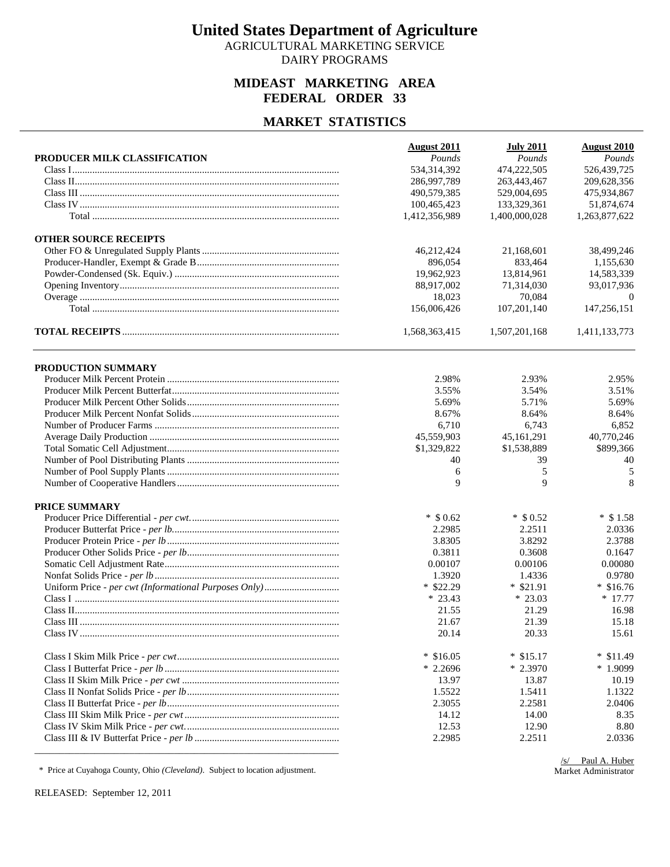AGRICULTURAL MARKETING SERVICE DAIRY PROGRAMS

### **MIDEAST MARKETING AREA FEDERAL ORDER 33**

#### **MARKET STATISTICS**

|                              | <b>August 2011</b> | <b>July 2011</b> | <b>August 2010</b> |
|------------------------------|--------------------|------------------|--------------------|
| PRODUCER MILK CLASSIFICATION | Pounds             | Pounds           | Pounds             |
|                              | 534,314,392        | 474,222,505      | 526,439,725        |
|                              | 286,997,789        | 263,443,467      | 209,628,356        |
|                              | 490,579,385        | 529,004,695      | 475,934,867        |
|                              | 100,465,423        | 133,329,361      | 51,874,674         |
|                              | 1,412,356,989      | 1,400,000,028    | 1,263,877,622      |
| <b>OTHER SOURCE RECEIPTS</b> |                    |                  |                    |
|                              | 46,212,424         | 21,168,601       | 38,499,246         |
|                              | 896,054            | 833,464          | 1,155,630          |
|                              | 19,962,923         | 13,814,961       | 14,583,339         |
|                              | 88,917,002         | 71,314,030       | 93,017,936         |
|                              | 18,023             | 70.084           | $\theta$           |
|                              | 156,006,426        | 107,201,140      | 147,256,151        |
|                              | 1,568,363,415      | 1,507,201,168    | 1,411,133,773      |
| PRODUCTION SUMMARY           |                    |                  |                    |
|                              | 2.98%              | 2.93%            | 2.95%              |
|                              | 3.55%              | 3.54%            | 3.51%              |
|                              | 5.69%              | 5.71%            | 5.69%              |
|                              | 8.67%              | 8.64%            | 8.64%              |
|                              | 6,710              | 6,743            | 6,852              |
|                              | 45,559,903         | 45,161,291       | 40,770,246         |
|                              | \$1,329,822        | \$1,538,889      | \$899,366          |
|                              | 40                 | 39               | 40                 |
|                              | 6                  | 5                | 5                  |
|                              | 9                  | 9                | 8                  |
|                              |                    |                  |                    |
| PRICE SUMMARY                |                    |                  |                    |
|                              | $*$ \$ 0.62        | $*$ \$ 0.52      | $*$ \$1.58         |
|                              | 2.2985             | 2.2511           | 2.0336             |
|                              | 3.8305             | 3.8292           | 2.3788             |
|                              | 0.3811             | 0.3608           | 0.1647             |
|                              | 0.00107            | 0.00106          | 0.00080            |
|                              | 1.3920             | 1.4336           | 0.9780             |
|                              | $*$ \$22.29        | $*$ \$21.91      | $*$ \$16.76        |
|                              | $* 23.43$          | $*23.03$         | $* 17.77$          |
|                              | 21.55              | 21.29            | 16.98              |
|                              | 21.67              | 21.39            | 15.18              |
|                              | 20.14              | 20.33            | 15.61              |
|                              | $*$ \$16.05        | $*$ \$15.17      | $*$ \$11.49        |
|                              | $*2.2696$          | $*2.3970$        | $*1.9099$          |
|                              | 13.97              | 13.87            | 10.19              |
|                              | 1.5522             | 1.5411           | 1.1322             |
|                              | 2.3055             | 2.2581           | 2.0406             |
|                              | 14.12              | 14.00            | 8.35               |
|                              | 12.53              | 12.90            | 8.80               |
|                              | 2.2985             | 2.2511           | 2.0336             |
|                              |                    |                  |                    |

\* Price at Cuyahoga County, Ohio *(Cleveland)*. Subject to location adjustment.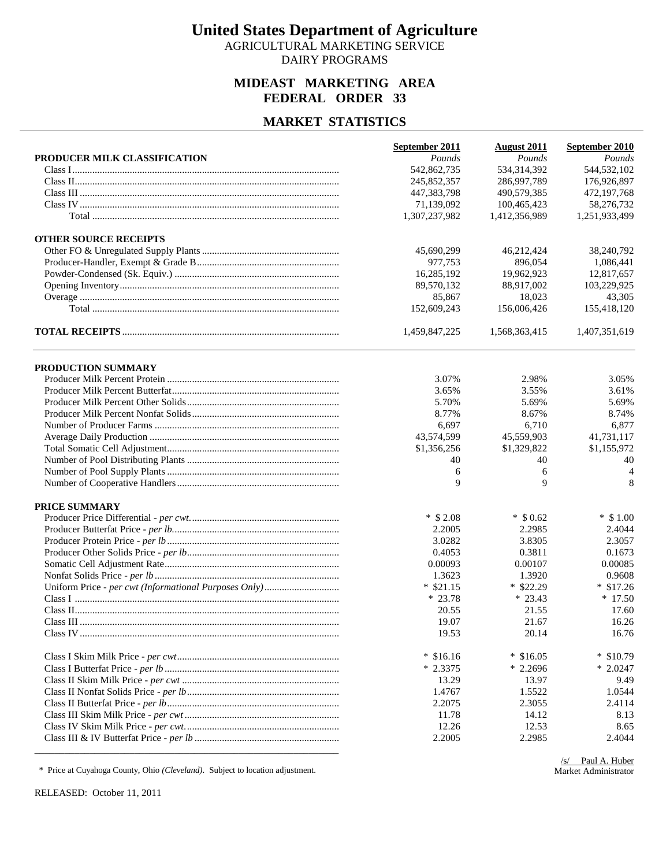AGRICULTURAL MARKETING SERVICE DAIRY PROGRAMS

### **MIDEAST MARKETING AREA FEDERAL ORDER 33**

#### **MARKET STATISTICS**

| Pounds<br>Pounds<br>Pounds<br>PRODUCER MILK CLASSIFICATION<br>544,532,102<br>542,862,735<br>534, 314, 392<br>245,852,357<br>286,997,789<br>176,926,897<br>447,383,798<br>490,579,385<br>472,197,768<br>71,139,092<br>100,465,423<br>58,276,732<br>1,307,237,982<br>1,412,356,989<br>1,251,933,499<br><b>OTHER SOURCE RECEIPTS</b><br>38,240,792<br>45,690,299<br>46,212,424<br>977,753<br>896.054<br>1,086,441<br>16,285,192<br>19.962.923<br>12,817,657<br>89,570,132<br>88,917,002<br>103,229,925<br>85,867<br>18,023<br>43,305<br>152,609,243<br>155,418,120<br>156,006,426<br>1,459,847,225<br>1,568,363,415<br>1,407,351,619<br>PRODUCTION SUMMARY<br>3.07%<br>2.98%<br>3.05%<br>3.55%<br>3.65%<br>3.61%<br>5.70%<br>5.69%<br>5.69%<br>8.67%<br>8.77%<br>8.74%<br>6,697<br>6,710<br>6,877<br>43,574,599<br>45,559,903<br>41,731,117<br>\$1,356,256<br>\$1,329,822<br>\$1,155,972<br>40<br>40<br>40<br>4<br>6<br>6<br>9<br>9<br>8<br>PRICE SUMMARY<br>$*$ \$ 2.08<br>$*$ \$ 0.62<br>$*$ \$1.00<br>2.2005<br>2.2985<br>2.4044<br>3.0282<br>3.8305<br>2.3057<br>0.4053<br>0.3811<br>0.1673<br>0.00085<br>0.00093<br>0.00107<br>0.9608<br>1.3623<br>1.3920<br>$*$ \$21.15<br>$*$ \$22.29<br>$*$ \$17.26<br>$*23.78$<br>$*17.50$<br>$*23.43$<br>17.60<br>20.55<br>21.55<br>19.07<br>21.67<br>16.26<br>19.53<br>20.14<br>16.76<br>$*$ \$16.16<br>$*$ \$16.05<br>$*$ \$10.79<br>$*2.2696$<br>$*2.3375$<br>$*2.0247$<br>13.29<br>13.97<br>9.49<br>1.4767<br>1.5522<br>1.0544<br>2.2075<br>2.3055<br>2.4114<br>14.12<br>11.78<br>8.13<br>12.26<br>12.53<br>8.65<br>2.2985<br>2.2005<br>2.4044 | September 2011 | <b>August 2011</b> | September 2010 |
|-------------------------------------------------------------------------------------------------------------------------------------------------------------------------------------------------------------------------------------------------------------------------------------------------------------------------------------------------------------------------------------------------------------------------------------------------------------------------------------------------------------------------------------------------------------------------------------------------------------------------------------------------------------------------------------------------------------------------------------------------------------------------------------------------------------------------------------------------------------------------------------------------------------------------------------------------------------------------------------------------------------------------------------------------------------------------------------------------------------------------------------------------------------------------------------------------------------------------------------------------------------------------------------------------------------------------------------------------------------------------------------------------------------------------------------------------------------------------------------------------------------------------------------------------------------------------------------------|----------------|--------------------|----------------|
|                                                                                                                                                                                                                                                                                                                                                                                                                                                                                                                                                                                                                                                                                                                                                                                                                                                                                                                                                                                                                                                                                                                                                                                                                                                                                                                                                                                                                                                                                                                                                                                           |                |                    |                |
|                                                                                                                                                                                                                                                                                                                                                                                                                                                                                                                                                                                                                                                                                                                                                                                                                                                                                                                                                                                                                                                                                                                                                                                                                                                                                                                                                                                                                                                                                                                                                                                           |                |                    |                |
|                                                                                                                                                                                                                                                                                                                                                                                                                                                                                                                                                                                                                                                                                                                                                                                                                                                                                                                                                                                                                                                                                                                                                                                                                                                                                                                                                                                                                                                                                                                                                                                           |                |                    |                |
|                                                                                                                                                                                                                                                                                                                                                                                                                                                                                                                                                                                                                                                                                                                                                                                                                                                                                                                                                                                                                                                                                                                                                                                                                                                                                                                                                                                                                                                                                                                                                                                           |                |                    |                |
|                                                                                                                                                                                                                                                                                                                                                                                                                                                                                                                                                                                                                                                                                                                                                                                                                                                                                                                                                                                                                                                                                                                                                                                                                                                                                                                                                                                                                                                                                                                                                                                           |                |                    |                |
|                                                                                                                                                                                                                                                                                                                                                                                                                                                                                                                                                                                                                                                                                                                                                                                                                                                                                                                                                                                                                                                                                                                                                                                                                                                                                                                                                                                                                                                                                                                                                                                           |                |                    |                |
|                                                                                                                                                                                                                                                                                                                                                                                                                                                                                                                                                                                                                                                                                                                                                                                                                                                                                                                                                                                                                                                                                                                                                                                                                                                                                                                                                                                                                                                                                                                                                                                           |                |                    |                |
|                                                                                                                                                                                                                                                                                                                                                                                                                                                                                                                                                                                                                                                                                                                                                                                                                                                                                                                                                                                                                                                                                                                                                                                                                                                                                                                                                                                                                                                                                                                                                                                           |                |                    |                |
|                                                                                                                                                                                                                                                                                                                                                                                                                                                                                                                                                                                                                                                                                                                                                                                                                                                                                                                                                                                                                                                                                                                                                                                                                                                                                                                                                                                                                                                                                                                                                                                           |                |                    |                |
|                                                                                                                                                                                                                                                                                                                                                                                                                                                                                                                                                                                                                                                                                                                                                                                                                                                                                                                                                                                                                                                                                                                                                                                                                                                                                                                                                                                                                                                                                                                                                                                           |                |                    |                |
|                                                                                                                                                                                                                                                                                                                                                                                                                                                                                                                                                                                                                                                                                                                                                                                                                                                                                                                                                                                                                                                                                                                                                                                                                                                                                                                                                                                                                                                                                                                                                                                           |                |                    |                |
|                                                                                                                                                                                                                                                                                                                                                                                                                                                                                                                                                                                                                                                                                                                                                                                                                                                                                                                                                                                                                                                                                                                                                                                                                                                                                                                                                                                                                                                                                                                                                                                           |                |                    |                |
|                                                                                                                                                                                                                                                                                                                                                                                                                                                                                                                                                                                                                                                                                                                                                                                                                                                                                                                                                                                                                                                                                                                                                                                                                                                                                                                                                                                                                                                                                                                                                                                           |                |                    |                |
|                                                                                                                                                                                                                                                                                                                                                                                                                                                                                                                                                                                                                                                                                                                                                                                                                                                                                                                                                                                                                                                                                                                                                                                                                                                                                                                                                                                                                                                                                                                                                                                           |                |                    |                |
|                                                                                                                                                                                                                                                                                                                                                                                                                                                                                                                                                                                                                                                                                                                                                                                                                                                                                                                                                                                                                                                                                                                                                                                                                                                                                                                                                                                                                                                                                                                                                                                           |                |                    |                |
|                                                                                                                                                                                                                                                                                                                                                                                                                                                                                                                                                                                                                                                                                                                                                                                                                                                                                                                                                                                                                                                                                                                                                                                                                                                                                                                                                                                                                                                                                                                                                                                           |                |                    |                |
|                                                                                                                                                                                                                                                                                                                                                                                                                                                                                                                                                                                                                                                                                                                                                                                                                                                                                                                                                                                                                                                                                                                                                                                                                                                                                                                                                                                                                                                                                                                                                                                           |                |                    |                |
|                                                                                                                                                                                                                                                                                                                                                                                                                                                                                                                                                                                                                                                                                                                                                                                                                                                                                                                                                                                                                                                                                                                                                                                                                                                                                                                                                                                                                                                                                                                                                                                           |                |                    |                |
|                                                                                                                                                                                                                                                                                                                                                                                                                                                                                                                                                                                                                                                                                                                                                                                                                                                                                                                                                                                                                                                                                                                                                                                                                                                                                                                                                                                                                                                                                                                                                                                           |                |                    |                |
|                                                                                                                                                                                                                                                                                                                                                                                                                                                                                                                                                                                                                                                                                                                                                                                                                                                                                                                                                                                                                                                                                                                                                                                                                                                                                                                                                                                                                                                                                                                                                                                           |                |                    |                |
|                                                                                                                                                                                                                                                                                                                                                                                                                                                                                                                                                                                                                                                                                                                                                                                                                                                                                                                                                                                                                                                                                                                                                                                                                                                                                                                                                                                                                                                                                                                                                                                           |                |                    |                |
|                                                                                                                                                                                                                                                                                                                                                                                                                                                                                                                                                                                                                                                                                                                                                                                                                                                                                                                                                                                                                                                                                                                                                                                                                                                                                                                                                                                                                                                                                                                                                                                           |                |                    |                |
|                                                                                                                                                                                                                                                                                                                                                                                                                                                                                                                                                                                                                                                                                                                                                                                                                                                                                                                                                                                                                                                                                                                                                                                                                                                                                                                                                                                                                                                                                                                                                                                           |                |                    |                |
|                                                                                                                                                                                                                                                                                                                                                                                                                                                                                                                                                                                                                                                                                                                                                                                                                                                                                                                                                                                                                                                                                                                                                                                                                                                                                                                                                                                                                                                                                                                                                                                           |                |                    |                |
|                                                                                                                                                                                                                                                                                                                                                                                                                                                                                                                                                                                                                                                                                                                                                                                                                                                                                                                                                                                                                                                                                                                                                                                                                                                                                                                                                                                                                                                                                                                                                                                           |                |                    |                |
|                                                                                                                                                                                                                                                                                                                                                                                                                                                                                                                                                                                                                                                                                                                                                                                                                                                                                                                                                                                                                                                                                                                                                                                                                                                                                                                                                                                                                                                                                                                                                                                           |                |                    |                |
|                                                                                                                                                                                                                                                                                                                                                                                                                                                                                                                                                                                                                                                                                                                                                                                                                                                                                                                                                                                                                                                                                                                                                                                                                                                                                                                                                                                                                                                                                                                                                                                           |                |                    |                |
|                                                                                                                                                                                                                                                                                                                                                                                                                                                                                                                                                                                                                                                                                                                                                                                                                                                                                                                                                                                                                                                                                                                                                                                                                                                                                                                                                                                                                                                                                                                                                                                           |                |                    |                |
|                                                                                                                                                                                                                                                                                                                                                                                                                                                                                                                                                                                                                                                                                                                                                                                                                                                                                                                                                                                                                                                                                                                                                                                                                                                                                                                                                                                                                                                                                                                                                                                           |                |                    |                |
|                                                                                                                                                                                                                                                                                                                                                                                                                                                                                                                                                                                                                                                                                                                                                                                                                                                                                                                                                                                                                                                                                                                                                                                                                                                                                                                                                                                                                                                                                                                                                                                           |                |                    |                |
|                                                                                                                                                                                                                                                                                                                                                                                                                                                                                                                                                                                                                                                                                                                                                                                                                                                                                                                                                                                                                                                                                                                                                                                                                                                                                                                                                                                                                                                                                                                                                                                           |                |                    |                |
|                                                                                                                                                                                                                                                                                                                                                                                                                                                                                                                                                                                                                                                                                                                                                                                                                                                                                                                                                                                                                                                                                                                                                                                                                                                                                                                                                                                                                                                                                                                                                                                           |                |                    |                |
|                                                                                                                                                                                                                                                                                                                                                                                                                                                                                                                                                                                                                                                                                                                                                                                                                                                                                                                                                                                                                                                                                                                                                                                                                                                                                                                                                                                                                                                                                                                                                                                           |                |                    |                |
|                                                                                                                                                                                                                                                                                                                                                                                                                                                                                                                                                                                                                                                                                                                                                                                                                                                                                                                                                                                                                                                                                                                                                                                                                                                                                                                                                                                                                                                                                                                                                                                           |                |                    |                |
|                                                                                                                                                                                                                                                                                                                                                                                                                                                                                                                                                                                                                                                                                                                                                                                                                                                                                                                                                                                                                                                                                                                                                                                                                                                                                                                                                                                                                                                                                                                                                                                           |                |                    |                |
|                                                                                                                                                                                                                                                                                                                                                                                                                                                                                                                                                                                                                                                                                                                                                                                                                                                                                                                                                                                                                                                                                                                                                                                                                                                                                                                                                                                                                                                                                                                                                                                           |                |                    |                |
|                                                                                                                                                                                                                                                                                                                                                                                                                                                                                                                                                                                                                                                                                                                                                                                                                                                                                                                                                                                                                                                                                                                                                                                                                                                                                                                                                                                                                                                                                                                                                                                           |                |                    |                |
|                                                                                                                                                                                                                                                                                                                                                                                                                                                                                                                                                                                                                                                                                                                                                                                                                                                                                                                                                                                                                                                                                                                                                                                                                                                                                                                                                                                                                                                                                                                                                                                           |                |                    |                |
|                                                                                                                                                                                                                                                                                                                                                                                                                                                                                                                                                                                                                                                                                                                                                                                                                                                                                                                                                                                                                                                                                                                                                                                                                                                                                                                                                                                                                                                                                                                                                                                           |                |                    |                |
|                                                                                                                                                                                                                                                                                                                                                                                                                                                                                                                                                                                                                                                                                                                                                                                                                                                                                                                                                                                                                                                                                                                                                                                                                                                                                                                                                                                                                                                                                                                                                                                           |                |                    |                |
|                                                                                                                                                                                                                                                                                                                                                                                                                                                                                                                                                                                                                                                                                                                                                                                                                                                                                                                                                                                                                                                                                                                                                                                                                                                                                                                                                                                                                                                                                                                                                                                           |                |                    |                |
|                                                                                                                                                                                                                                                                                                                                                                                                                                                                                                                                                                                                                                                                                                                                                                                                                                                                                                                                                                                                                                                                                                                                                                                                                                                                                                                                                                                                                                                                                                                                                                                           |                |                    |                |
|                                                                                                                                                                                                                                                                                                                                                                                                                                                                                                                                                                                                                                                                                                                                                                                                                                                                                                                                                                                                                                                                                                                                                                                                                                                                                                                                                                                                                                                                                                                                                                                           |                |                    |                |
|                                                                                                                                                                                                                                                                                                                                                                                                                                                                                                                                                                                                                                                                                                                                                                                                                                                                                                                                                                                                                                                                                                                                                                                                                                                                                                                                                                                                                                                                                                                                                                                           |                |                    |                |
|                                                                                                                                                                                                                                                                                                                                                                                                                                                                                                                                                                                                                                                                                                                                                                                                                                                                                                                                                                                                                                                                                                                                                                                                                                                                                                                                                                                                                                                                                                                                                                                           |                |                    |                |

\* Price at Cuyahoga County, Ohio *(Cleveland)*. Subject to location adjustment.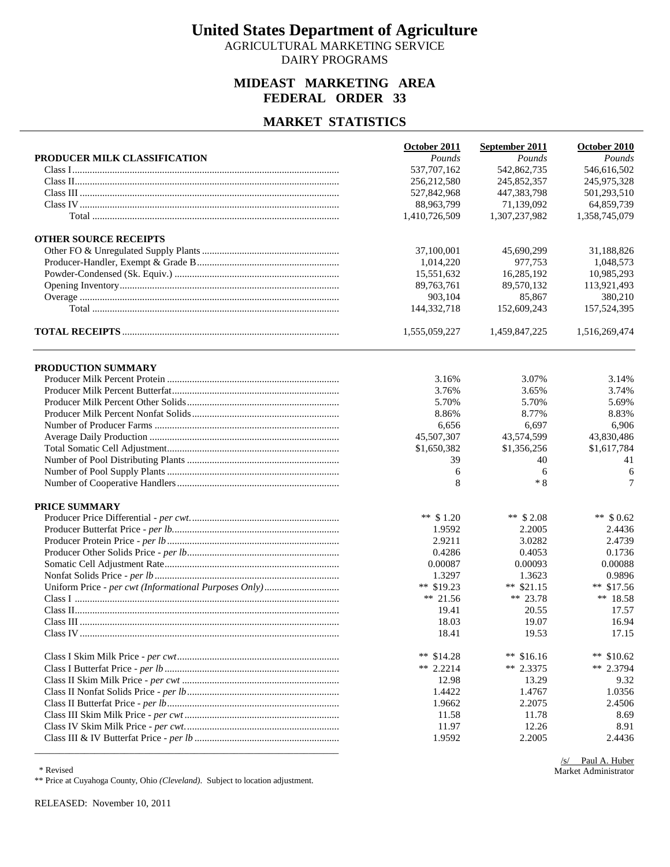AGRICULTURAL MARKETING SERVICE DAIRY PROGRAMS

### **MIDEAST MARKETING AREA FEDERAL ORDER 33**

#### **MARKET STATISTICS**

|                              | October 2011  | September 2011 | October 2010  |
|------------------------------|---------------|----------------|---------------|
| PRODUCER MILK CLASSIFICATION | Pounds        | Pounds         | Pounds        |
|                              | 537,707,162   | 542,862,735    | 546,616,502   |
|                              | 256,212,580   | 245,852,357    | 245,975,328   |
|                              | 527,842,968   | 447,383,798    | 501,293,510   |
|                              | 88,963,799    | 71,139,092     | 64,859,739    |
|                              | 1,410,726,509 | 1,307,237,982  | 1,358,745,079 |
| <b>OTHER SOURCE RECEIPTS</b> |               |                |               |
|                              | 37,100,001    | 45,690,299     | 31,188,826    |
|                              | 1,014,220     | 977,753        | 1,048,573     |
|                              | 15,551,632    | 16,285,192     | 10,985,293    |
|                              | 89,763,761    | 89,570,132     | 113,921,493   |
|                              | 903,104       | 85,867         | 380,210       |
|                              | 144,332,718   | 152,609,243    | 157,524,395   |
|                              | 1,555,059,227 | 1,459,847,225  | 1,516,269,474 |
| PRODUCTION SUMMARY           |               |                |               |
|                              | 3.16%         | 3.07%          | 3.14%         |
|                              | 3.76%         | 3.65%          | 3.74%         |
|                              | 5.70%         | 5.70%          | 5.69%         |
|                              | 8.86%         | 8.77%          | 8.83%         |
|                              | 6,656         | 6,697          | 6,906         |
|                              | 45,507,307    | 43,574,599     | 43,830,486    |
|                              | \$1,650,382   | \$1,356,256    | \$1,617,784   |
|                              | 39            | 40             | 41            |
|                              | 6             | 6              | 6             |
|                              | 8             | $*8$           | 7             |
| PRICE SUMMARY                |               |                |               |
|                              | ** $$1.20$    | ** $$2.08$     | ** $$0.62$    |
|                              | 1.9592        | 2.2005         | 2.4436        |
|                              | 2.9211        | 3.0282         | 2.4739        |
|                              | 0.4286        | 0.4053         | 0.1736        |
|                              | 0.00087       | 0.00093        | 0.00088       |
|                              | 1.3297        | 1.3623         | 0.9896        |
|                              | ** $$19.23$   | ** $$21.15$    | ** $$17.56$   |
|                              | ** $21.56$    | ** 23.78       | ** 18.58      |
|                              | 19.41         | 20.55          | 17.57         |
|                              | 18.03         | 19.07          | 16.94         |
|                              | 18.41         | 19.53          | 17.15         |
|                              | ** $$14.28$   | ** $$16.16$    | **<br>\$10.62 |
|                              | ** $2.2214$   | $** 2.3375$    | ** $2.3794$   |
|                              | 12.98         | 13.29          | 9.32          |
|                              | 1.4422        | 1.4767         | 1.0356        |
|                              | 1.9662        | 2.2075         | 2.4506        |
|                              | 11.58         | 11.78          | 8.69          |
|                              | 11.97         | 12.26          | 8.91          |
|                              | 1.9592        | 2.2005         | 2.4436        |

 <sup>\*</sup> Revised

\*\* Price at Cuyahoga County, Ohio *(Cleveland)*. Subject to location adjustment.

RELEASED: November 10, 2011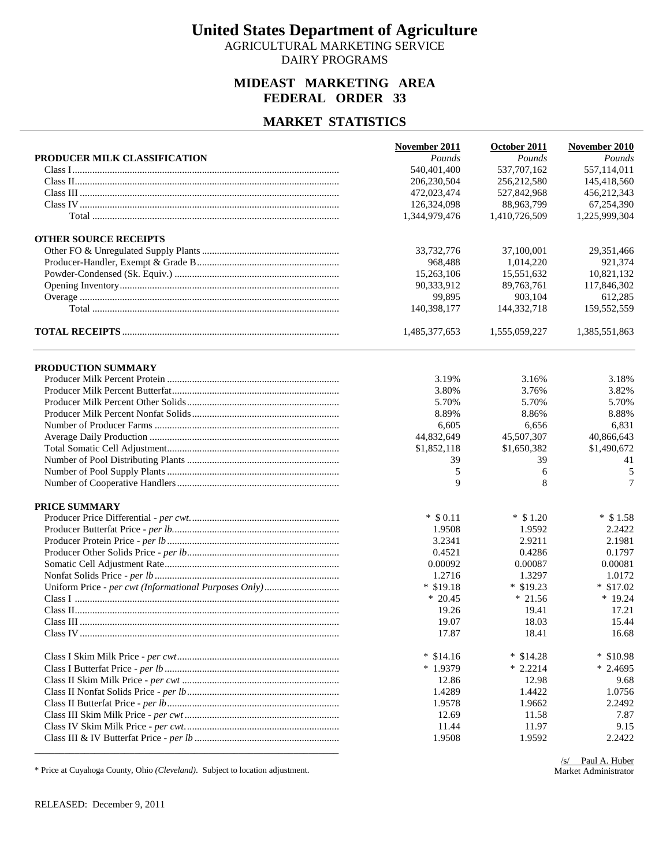AGRICULTURAL MARKETING SERVICE DAIRY PROGRAMS

### **MIDEAST MARKETING AREA FEDERAL ORDER 33**

#### **MARKET STATISTICS**

|                              | November 2011 | October 2011  | November 2010 |
|------------------------------|---------------|---------------|---------------|
| PRODUCER MILK CLASSIFICATION | Pounds        | Pounds        | Pounds        |
|                              | 540,401,400   | 537,707,162   | 557,114,011   |
|                              | 206,230,504   | 256, 212, 580 | 145,418,560   |
|                              | 472,023,474   | 527,842,968   | 456,212,343   |
|                              | 126,324,098   | 88,963,799    | 67,254,390    |
|                              | 1,344,979,476 | 1,410,726,509 | 1,225,999,304 |
| <b>OTHER SOURCE RECEIPTS</b> |               |               |               |
|                              | 33,732,776    | 37,100,001    | 29,351,466    |
|                              | 968,488       | 1,014,220     | 921,374       |
|                              | 15,263,106    | 15,551,632    | 10,821,132    |
|                              | 90,333,912    | 89,763,761    | 117,846,302   |
|                              | 99,895        | 903.104       | 612,285       |
|                              | 140,398,177   | 144,332,718   | 159,552,559   |
|                              | 1,485,377,653 | 1,555,059,227 | 1,385,551,863 |
| PRODUCTION SUMMARY           |               |               |               |
|                              | 3.19%         | 3.16%         | 3.18%         |
|                              | 3.80%         | 3.76%         | 3.82%         |
|                              | 5.70%         | 5.70%         | 5.70%         |
|                              | 8.89%         | 8.86%         | 8.88%         |
|                              | 6,605         | 6,656         | 6,831         |
|                              | 44,832,649    | 45,507,307    | 40,866,643    |
|                              | \$1,852,118   | \$1,650,382   | \$1,490,672   |
|                              | 39            | 39            | 41            |
|                              | 5             | 6             | 5             |
|                              | 9             | 8             | 7             |
| PRICE SUMMARY                |               |               |               |
|                              | $*$ \$ 0.11   | $*$ \$ 1.20   | $*$ \$1.58    |
|                              | 1.9508        | 1.9592        | 2.2422        |
|                              | 3.2341        | 2.9211        | 2.1981        |
|                              | 0.4521        | 0.4286        | 0.1797        |
|                              | 0.00092       | 0.00087       | 0.00081       |
|                              | 1.2716        | 1.3297        | 1.0172        |
|                              | $*$ \$19.18   | $*$ \$19.23   | $*$ \$17.02   |
|                              | $*20.45$      | $*21.56$      | $*19.24$      |
|                              | 19.26         | 19.41         | 17.21         |
|                              | 19.07         | 18.03         | 15.44         |
|                              | 17.87         | 18.41         | 16.68         |
|                              | $*$ \$14.16   | $*$ \$14.28   | $*$ \$10.98   |
|                              | $*1.9379$     | $* 2.2214$    | $*2.4695$     |
|                              | 12.86         | 12.98         | 9.68          |
|                              | 1.4289        | 1.4422        | 1.0756        |
|                              | 1.9578        | 1.9662        | 2.2492        |
|                              | 12.69         | 11.58         | 7.87          |
|                              | 11.44         | 11.97         | 9.15          |
|                              | 1.9508        | 1.9592        | 2.2422        |
|                              |               |               |               |

\* Price at Cuyahoga County, Ohio *(Cleveland)*. Subject to location adjustment.